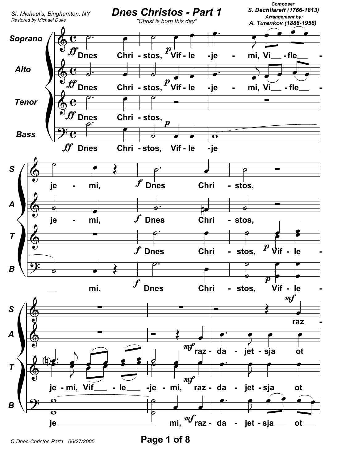

Page 1 of 8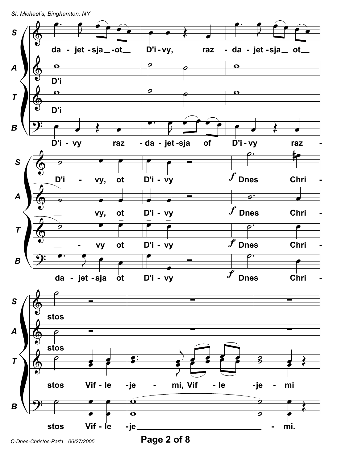St. Michael's, Binghamton, NY

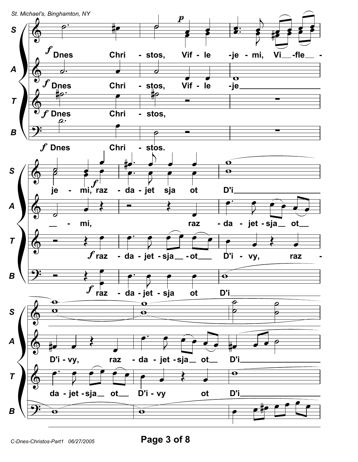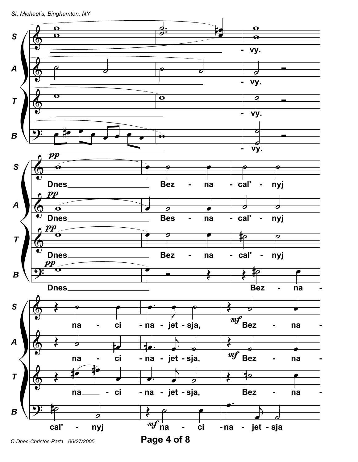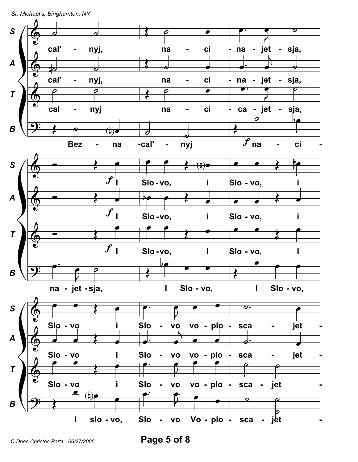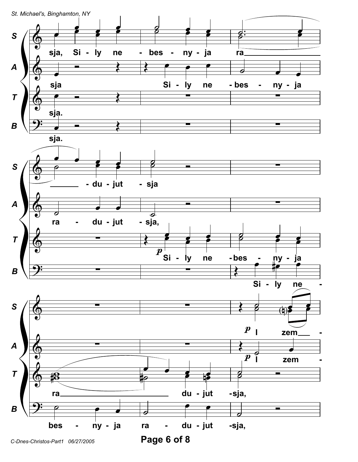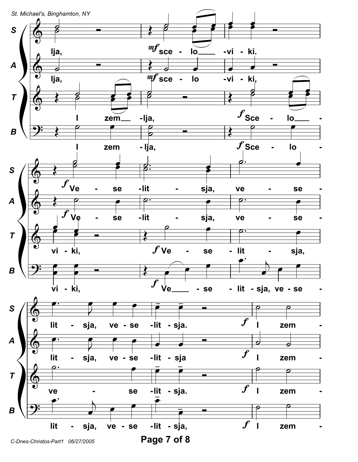